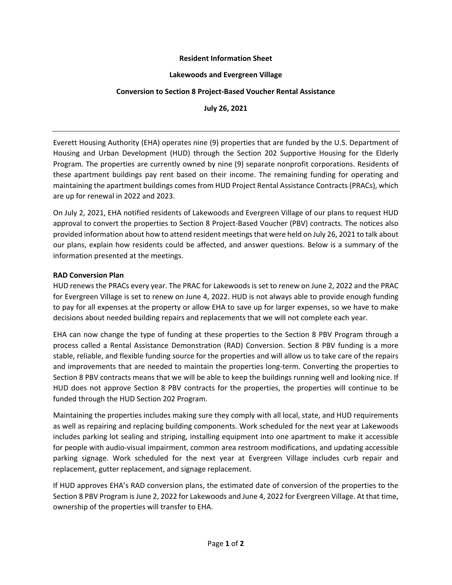## **Resident Information Sheet**

### **Lakewoods and Evergreen Village**

# **Conversion to Section 8 Project-Based Voucher Rental Assistance**

**July 26, 2021**

Everett Housing Authority (EHA) operates nine (9) properties that are funded by the U.S. Department of Housing and Urban Development (HUD) through the Section 202 Supportive Housing for the Elderly Program. The properties are currently owned by nine (9) separate nonprofit corporations. Residents of these apartment buildings pay rent based on their income. The remaining funding for operating and maintaining the apartment buildings comes from HUD Project Rental Assistance Contracts (PRACs), which are up for renewal in 2022 and 2023.

On July 2, 2021, EHA notified residents of Lakewoods and Evergreen Village of our plans to request HUD approval to convert the properties to Section 8 Project-Based Voucher (PBV) contracts. The notices also provided information about how to attend resident meetings that were held on July 26, 2021 to talk about our plans, explain how residents could be affected, and answer questions. Below is a summary of the information presented at the meetings.

# **RAD Conversion Plan**

HUD renews the PRACs every year. The PRAC for Lakewoods is set to renew on June 2, 2022 and the PRAC for Evergreen Village is set to renew on June 4, 2022. HUD is not always able to provide enough funding to pay for all expenses at the property or allow EHA to save up for larger expenses, so we have to make decisions about needed building repairs and replacements that we will not complete each year.

EHA can now change the type of funding at these properties to the Section 8 PBV Program through a process called a Rental Assistance Demonstration (RAD) Conversion. Section 8 PBV funding is a more stable, reliable, and flexible funding source for the properties and will allow us to take care of the repairs and improvements that are needed to maintain the properties long-term. Converting the properties to Section 8 PBV contracts means that we will be able to keep the buildings running well and looking nice. If HUD does not approve Section 8 PBV contracts for the properties, the properties will continue to be funded through the HUD Section 202 Program.

Maintaining the properties includes making sure they comply with all local, state, and HUD requirements as well as repairing and replacing building components. Work scheduled for the next year at Lakewoods includes parking lot sealing and striping, installing equipment into one apartment to make it accessible for people with audio-visual impairment, common area restroom modifications, and updating accessible parking signage. Work scheduled for the next year at Evergreen Village includes curb repair and replacement, gutter replacement, and signage replacement.

If HUD approves EHA's RAD conversion plans, the estimated date of conversion of the properties to the Section 8 PBV Program is June 2, 2022 for Lakewoods and June 4, 2022 for Evergreen Village. At that time, ownership of the properties will transfer to EHA.